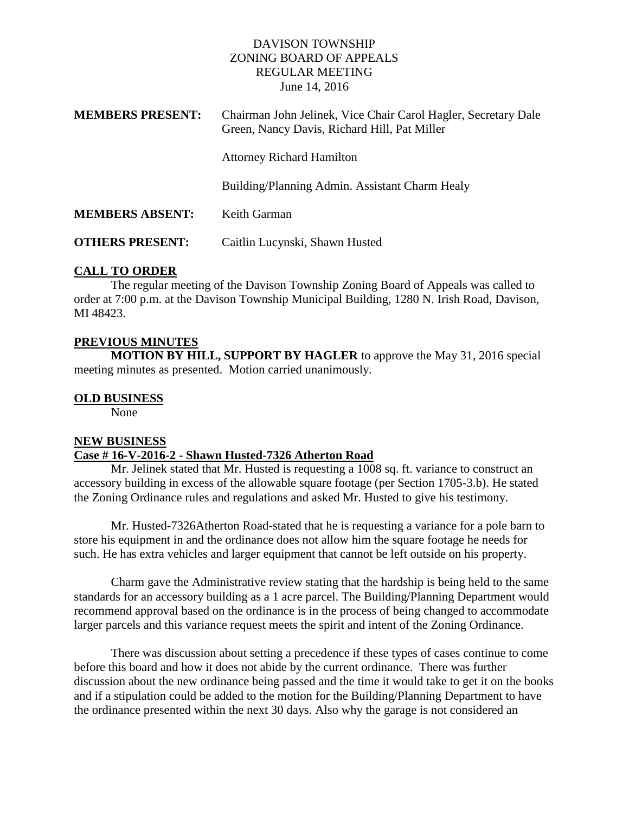### DAVISON TOWNSHIP ZONING BOARD OF APPEALS REGULAR MEETING June 14, 2016

| <b>MEMBERS PRESENT:</b> | Chairman John Jelinek, Vice Chair Carol Hagler, Secretary Dale<br>Green, Nancy Davis, Richard Hill, Pat Miller |
|-------------------------|----------------------------------------------------------------------------------------------------------------|
|                         | <b>Attorney Richard Hamilton</b>                                                                               |
|                         | Building/Planning Admin. Assistant Charm Healy                                                                 |
| <b>MEMBERS ABSENT:</b>  | Keith Garman                                                                                                   |
| <b>OTHERS PRESENT:</b>  | Caitlin Lucynski, Shawn Husted                                                                                 |

### **CALL TO ORDER**

The regular meeting of the Davison Township Zoning Board of Appeals was called to order at 7:00 p.m. at the Davison Township Municipal Building, 1280 N. Irish Road, Davison, MI 48423.

# **PREVIOUS MINUTES**

**MOTION BY HILL, SUPPORT BY HAGLER** to approve the May 31, 2016 special meeting minutes as presented. Motion carried unanimously.

### **OLD BUSINESS**

None

### **NEW BUSINESS**

#### **Case # 16-V-2016-2 - Shawn Husted-7326 Atherton Road**

Mr. Jelinek stated that Mr. Husted is requesting a 1008 sq. ft. variance to construct an accessory building in excess of the allowable square footage (per Section 1705-3.b). He stated the Zoning Ordinance rules and regulations and asked Mr. Husted to give his testimony.

Mr. Husted-7326Atherton Road-stated that he is requesting a variance for a pole barn to store his equipment in and the ordinance does not allow him the square footage he needs for such. He has extra vehicles and larger equipment that cannot be left outside on his property.

Charm gave the Administrative review stating that the hardship is being held to the same standards for an accessory building as a 1 acre parcel. The Building/Planning Department would recommend approval based on the ordinance is in the process of being changed to accommodate larger parcels and this variance request meets the spirit and intent of the Zoning Ordinance.

There was discussion about setting a precedence if these types of cases continue to come before this board and how it does not abide by the current ordinance. There was further discussion about the new ordinance being passed and the time it would take to get it on the books and if a stipulation could be added to the motion for the Building/Planning Department to have the ordinance presented within the next 30 days. Also why the garage is not considered an